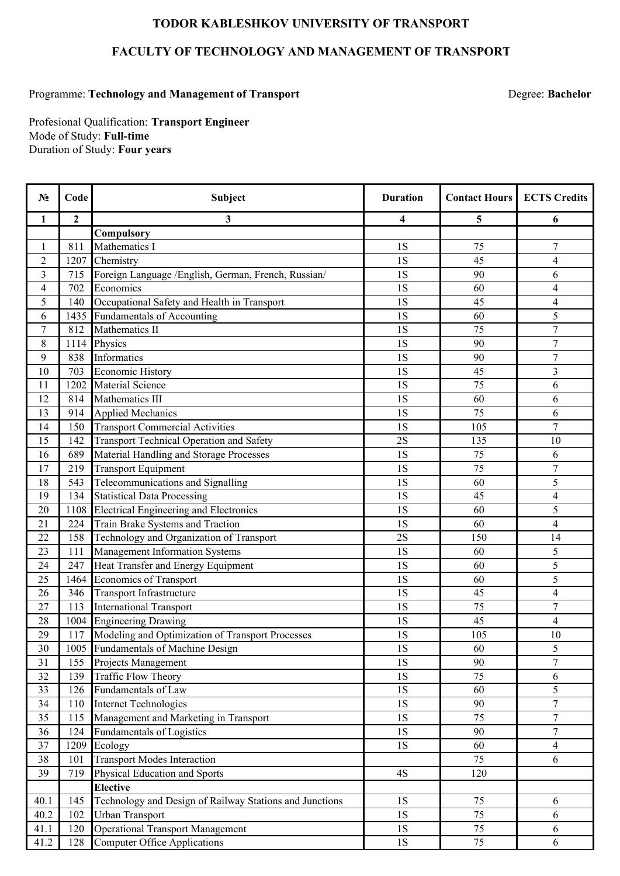## **TODOR KABLESHKOV UNIVERSITY OF TRANSPORT**

## **FACULTY OF TECHNOLOGY AND MANAGEMENT OF TRANSPORT**

## Programme: Technology and Management of Transport **Degree: Bachelor** Degree: Bachelor

Duration of Study: **Four years** Profesional Qualification: **Transport Engineer**  Mode of Study: **Full-time**

| $N_2$                   | Code         | Subject                                                 | <b>Duration</b> | <b>Contact Hours</b> | <b>ECTS Credits</b>              |
|-------------------------|--------------|---------------------------------------------------------|-----------------|----------------------|----------------------------------|
| 1                       | $\mathbf{2}$ | 3                                                       | 4               | 5                    | 6                                |
|                         |              | Compulsory                                              |                 |                      |                                  |
| 1                       | 811          | Mathematics I                                           | 1S              | 75                   | $\overline{7}$                   |
| $\overline{2}$          | 1207         | Chemistry                                               | 1S              | 45                   | $\overline{4}$                   |
| $\mathfrak{Z}$          | 715          | Foreign Language /English, German, French, Russian/     | 1S              | 90                   | 6                                |
| $\overline{\mathbf{4}}$ | 702          | Economics                                               | 1S              | 60                   | $\overline{4}$                   |
| 5                       | 140          | Occupational Safety and Health in Transport             | 1S              | 45                   | 4                                |
| 6                       | 1435         | Fundamentals of Accounting                              | 1S              | 60                   | 5                                |
| $\boldsymbol{7}$        | 812          | Mathematics II                                          | 1S              | 75                   | $\overline{7}$                   |
| $8\,$                   | 1114         | Physics                                                 | 1S              | 90                   | $\overline{7}$                   |
| 9                       | 838          | Informatics                                             | 1S              | 90                   | $\overline{7}$                   |
| 10                      | 703          | <b>Economic History</b>                                 | 1S              | 45                   | 3                                |
| 11                      | 1202         | Material Science                                        | 1S              | 75                   | 6                                |
| 12                      | 814          | Mathematics III                                         | 1S              | 60                   | 6                                |
| 13                      | 914          | <b>Applied Mechanics</b>                                | 1S              | $\overline{75}$      | 6                                |
| 14                      | 150          | <b>Transport Commercial Activities</b>                  | 1S              | 105                  | $\overline{7}$                   |
| 15                      | 142          | Transport Technical Operation and Safety                | 2S              | 135                  | 10                               |
| 16                      | 689          | Material Handling and Storage Processes                 | 1S              | 75                   | 6                                |
| 17                      | 219          | <b>Transport Equipment</b>                              | 1S              | 75                   | $\tau$                           |
| 18                      | 543          | Telecommunications and Signalling                       | 1S              | 60                   | 5                                |
| 19                      | 134          | <b>Statistical Data Processing</b>                      | 1S              | 45                   | $\overline{4}$                   |
| 20                      | 1108         | <b>Electrical Engineering and Electronics</b>           | <b>1S</b>       | 60                   | 5                                |
| 21                      | 224          | Train Brake Systems and Traction                        | 1S              | 60                   | $\overline{4}$                   |
| 22                      | 158          | Technology and Organization of Transport                | 2S              | 150                  | 14                               |
| 23                      | 111          | Management Information Systems                          | 1S              | 60                   | 5                                |
| 24                      | 247          | Heat Transfer and Energy Equipment                      | 1S              | 60                   | 5                                |
| 25                      | 1464         | Economics of Transport                                  | 1S              | 60                   | 5                                |
| 26                      | 346          | <b>Transport Infrastructure</b>                         | 1S              | 45                   | 4                                |
| 27                      | 113          | <b>International Transport</b>                          | 1S              | 75                   | $\overline{7}$                   |
| 28                      | 1004         | <b>Engineering Drawing</b>                              | 1S              | 45                   | 4                                |
| 29                      | 117          | Modeling and Optimization of Transport Processes        | 1S              | 105                  | 10                               |
| 30                      |              | 1005 Fundamentals of Machine Design                     | 1S              | 60                   | 5                                |
| 31                      | 155          | Projects Management                                     | 1S              | 90                   | $\overline{7}$                   |
| 32                      | 139          | <b>Traffic Flow Theory</b>                              | <b>1S</b>       | 75                   | 6                                |
| 33                      | 126          | <b>Fundamentals of Law</b>                              | $1\mathrm{S}$   | 60                   | 5                                |
| 34                      | 110          | <b>Internet Technologies</b>                            | 1S              | 90                   | $\tau$                           |
| 35                      | 115          | Management and Marketing in Transport                   | 1S              | 75                   | $\overline{7}$<br>$\overline{7}$ |
| 36                      | 124          | <b>Fundamentals of Logistics</b>                        | <b>1S</b>       | 90                   |                                  |
| 37                      | 1209         | Ecology                                                 | <b>1S</b>       | 60                   | $\overline{4}$                   |
| 38                      | 101          | <b>Transport Modes Interaction</b>                      |                 | 75                   | 6                                |
| 39                      | 719          | Physical Education and Sports                           | 4S              | 120                  |                                  |
|                         |              | <b>Elective</b>                                         |                 |                      |                                  |
| 40.1                    | 145          | Technology and Design of Railway Stations and Junctions | 1S              | 75                   | 6                                |
| 40.2                    | 102          | <b>Urban Transport</b>                                  | $1\mathrm{S}$   | 75                   | 6                                |
| 41.1                    | 120          | <b>Operational Transport Management</b>                 | 1S              | 75                   | 6                                |
| 41.2                    | 128          | <b>Computer Office Applications</b>                     | 1S              | 75                   | 6                                |